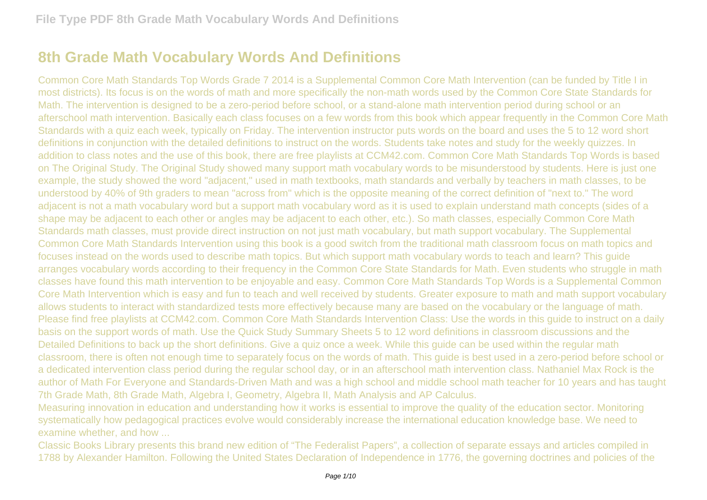## **8th Grade Math Vocabulary Words And Definitions**

Common Core Math Standards Top Words Grade 7 2014 is a Supplemental Common Core Math Intervention (can be funded by Title I in most districts). Its focus is on the words of math and more specifically the non-math words used by the Common Core State Standards for Math. The intervention is designed to be a zero-period before school, or a stand-alone math intervention period during school or an afterschool math intervention. Basically each class focuses on a few words from this book which appear frequently in the Common Core Math Standards with a quiz each week, typically on Friday. The intervention instructor puts words on the board and uses the 5 to 12 word short definitions in conjunction with the detailed definitions to instruct on the words. Students take notes and study for the weekly quizzes. In addition to class notes and the use of this book, there are free playlists at CCM42.com. Common Core Math Standards Top Words is based on The Original Study. The Original Study showed many support math vocabulary words to be misunderstood by students. Here is just one example, the study showed the word "adjacent," used in math textbooks, math standards and verbally by teachers in math classes, to be understood by 40% of 9th graders to mean "across from" which is the opposite meaning of the correct definition of "next to." The word adjacent is not a math vocabulary word but a support math vocabulary word as it is used to explain understand math concepts (sides of a shape may be adjacent to each other or angles may be adjacent to each other, etc.). So math classes, especially Common Core Math Standards math classes, must provide direct instruction on not just math vocabulary, but math support vocabulary. The Supplemental Common Core Math Standards Intervention using this book is a good switch from the traditional math classroom focus on math topics and focuses instead on the words used to describe math topics. But which support math vocabulary words to teach and learn? This guide arranges vocabulary words according to their frequency in the Common Core State Standards for Math. Even students who struggle in math classes have found this math intervention to be enjoyable and easy. Common Core Math Standards Top Words is a Supplemental Common Core Math Intervention which is easy and fun to teach and well received by students. Greater exposure to math and math support vocabulary allows students to interact with standardized tests more effectively because many are based on the vocabulary or the language of math. Please find free playlists at CCM42.com. Common Core Math Standards Intervention Class: Use the words in this guide to instruct on a daily basis on the support words of math. Use the Quick Study Summary Sheets 5 to 12 word definitions in classroom discussions and the Detailed Definitions to back up the short definitions. Give a quiz once a week. While this guide can be used within the regular math classroom, there is often not enough time to separately focus on the words of math. This guide is best used in a zero-period before school or a dedicated intervention class period during the regular school day, or in an afterschool math intervention class. Nathaniel Max Rock is the author of Math For Everyone and Standards-Driven Math and was a high school and middle school math teacher for 10 years and has taught 7th Grade Math, 8th Grade Math, Algebra I, Geometry, Algebra II, Math Analysis and AP Calculus.

Measuring innovation in education and understanding how it works is essential to improve the quality of the education sector. Monitoring systematically how pedagogical practices evolve would considerably increase the international education knowledge base. We need to examine whether, and how ...

Classic Books Library presents this brand new edition of "The Federalist Papers", a collection of separate essays and articles compiled in 1788 by Alexander Hamilton. Following the United States Declaration of Independence in 1776, the governing doctrines and policies of the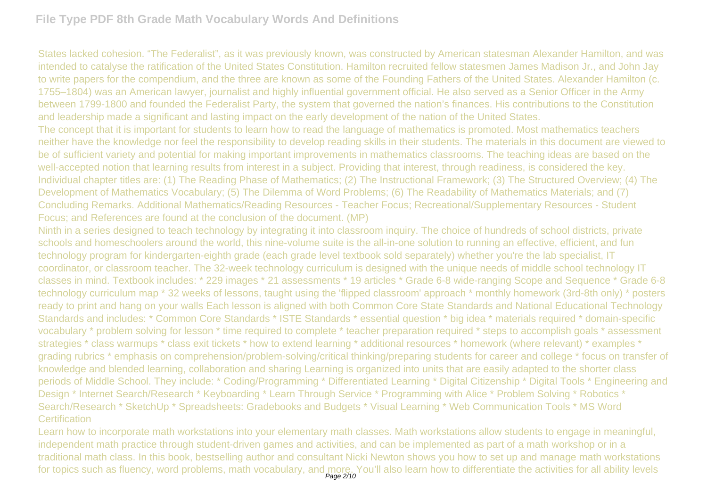## **File Type PDF 8th Grade Math Vocabulary Words And Definitions**

States lacked cohesion. "The Federalist", as it was previously known, was constructed by American statesman Alexander Hamilton, and was intended to catalyse the ratification of the United States Constitution. Hamilton recruited fellow statesmen James Madison Jr., and John Jay to write papers for the compendium, and the three are known as some of the Founding Fathers of the United States. Alexander Hamilton (c. 1755–1804) was an American lawyer, journalist and highly influential government official. He also served as a Senior Officer in the Army between 1799-1800 and founded the Federalist Party, the system that governed the nation's finances. His contributions to the Constitution and leadership made a significant and lasting impact on the early development of the nation of the United States.

The concept that it is important for students to learn how to read the language of mathematics is promoted. Most mathematics teachers neither have the knowledge nor feel the responsibility to develop reading skills in their students. The materials in this document are viewed to be of sufficient variety and potential for making important improvements in mathematics classrooms. The teaching ideas are based on the well-accepted notion that learning results from interest in a subject. Providing that interest, through readiness, is considered the key. Individual chapter titles are: (1) The Reading Phase of Mathematics; (2) The Instructional Framework; (3) The Structured Overview; (4) The Development of Mathematics Vocabulary; (5) The Dilemma of Word Problems; (6) The Readability of Mathematics Materials; and (7) Concluding Remarks. Additional Mathematics/Reading Resources - Teacher Focus; Recreational/Supplementary Resources - Student Focus; and References are found at the conclusion of the document. (MP)

Ninth in a series designed to teach technology by integrating it into classroom inquiry. The choice of hundreds of school districts, private schools and homeschoolers around the world, this nine-volume suite is the all-in-one solution to running an effective, efficient, and fun technology program for kindergarten-eighth grade (each grade level textbook sold separately) whether you're the lab specialist, IT coordinator, or classroom teacher. The 32-week technology curriculum is designed with the unique needs of middle school technology IT classes in mind. Textbook includes: \* 229 images \* 21 assessments \* 19 articles \* Grade 6-8 wide-ranging Scope and Sequence \* Grade 6-8 technology curriculum map \* 32 weeks of lessons, taught using the 'flipped classroom' approach \* monthly homework (3rd-8th only) \* posters ready to print and hang on your walls Each lesson is aligned with both Common Core State Standards and National Educational Technology Standards and includes: \* Common Core Standards \* ISTE Standards \* essential question \* big idea \* materials required \* domain-specific vocabulary \* problem solving for lesson \* time required to complete \* teacher preparation required \* steps to accomplish goals \* assessment strategies \* class warmups \* class exit tickets \* how to extend learning \* additional resources \* homework (where relevant) \* examples \* grading rubrics \* emphasis on comprehension/problem-solving/critical thinking/preparing students for career and college \* focus on transfer of knowledge and blended learning, collaboration and sharing Learning is organized into units that are easily adapted to the shorter class periods of Middle School. They include: \* Coding/Programming \* Differentiated Learning \* Digital Citizenship \* Digital Tools \* Engineering and Design \* Internet Search/Research \* Keyboarding \* Learn Through Service \* Programming with Alice \* Problem Solving \* Robotics \* Search/Research \* SketchUp \* Spreadsheets: Gradebooks and Budgets \* Visual Learning \* Web Communication Tools \* MS Word **Certification** 

Learn how to incorporate math workstations into your elementary math classes. Math workstations allow students to engage in meaningful, independent math practice through student-driven games and activities, and can be implemented as part of a math workshop or in a traditional math class. In this book, bestselling author and consultant Nicki Newton shows you how to set up and manage math workstations for topics such as fluency, word problems, math vocabulary, and more. You'll also learn how to differentiate the activities for all ability levels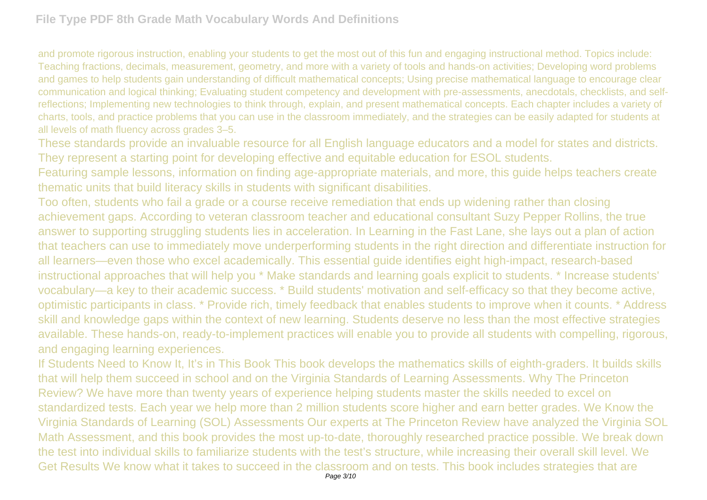and promote rigorous instruction, enabling your students to get the most out of this fun and engaging instructional method. Topics include: Teaching fractions, decimals, measurement, geometry, and more with a variety of tools and hands-on activities; Developing word problems and games to help students gain understanding of difficult mathematical concepts; Using precise mathematical language to encourage clear communication and logical thinking; Evaluating student competency and development with pre-assessments, anecdotals, checklists, and selfreflections; Implementing new technologies to think through, explain, and present mathematical concepts. Each chapter includes a variety of charts, tools, and practice problems that you can use in the classroom immediately, and the strategies can be easily adapted for students at all levels of math fluency across grades 3–5.

These standards provide an invaluable resource for all English language educators and a model for states and districts. They represent a starting point for developing effective and equitable education for ESOL students.

Featuring sample lessons, information on finding age-appropriate materials, and more, this guide helps teachers create thematic units that build literacy skills in students with significant disabilities.

Too often, students who fail a grade or a course receive remediation that ends up widening rather than closing achievement gaps. According to veteran classroom teacher and educational consultant Suzy Pepper Rollins, the true answer to supporting struggling students lies in acceleration. In Learning in the Fast Lane, she lays out a plan of action that teachers can use to immediately move underperforming students in the right direction and differentiate instruction for all learners—even those who excel academically. This essential guide identifies eight high-impact, research-based instructional approaches that will help you \* Make standards and learning goals explicit to students. \* Increase students' vocabulary—a key to their academic success. \* Build students' motivation and self-efficacy so that they become active, optimistic participants in class. \* Provide rich, timely feedback that enables students to improve when it counts. \* Address skill and knowledge gaps within the context of new learning. Students deserve no less than the most effective strategies available. These hands-on, ready-to-implement practices will enable you to provide all students with compelling, rigorous, and engaging learning experiences.

If Students Need to Know It, It's in This Book This book develops the mathematics skills of eighth-graders. It builds skills that will help them succeed in school and on the Virginia Standards of Learning Assessments. Why The Princeton Review? We have more than twenty years of experience helping students master the skills needed to excel on standardized tests. Each year we help more than 2 million students score higher and earn better grades. We Know the Virginia Standards of Learning (SOL) Assessments Our experts at The Princeton Review have analyzed the Virginia SOL Math Assessment, and this book provides the most up-to-date, thoroughly researched practice possible. We break down the test into individual skills to familiarize students with the test's structure, while increasing their overall skill level. We Get Results We know what it takes to succeed in the classroom and on tests. This book includes strategies that are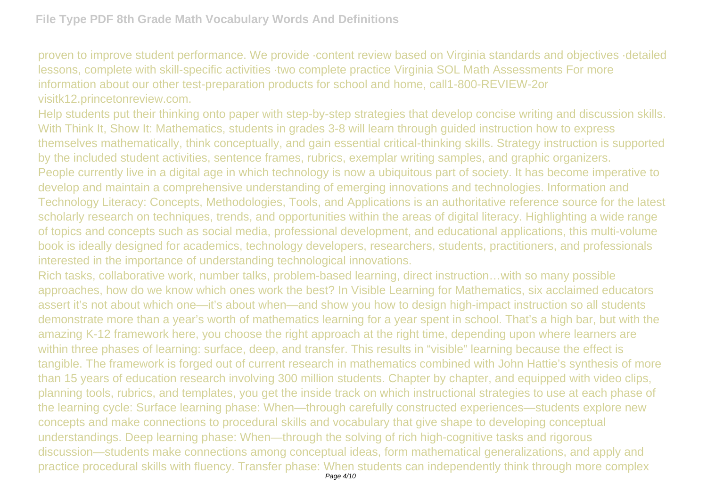proven to improve student performance. We provide ·content review based on Virginia standards and objectives ·detailed lessons, complete with skill-specific activities ·two complete practice Virginia SOL Math Assessments For more information about our other test-preparation products for school and home, call1-800-REVIEW-2or visitk12.princetonreview.com.

Help students put their thinking onto paper with step-by-step strategies that develop concise writing and discussion skills. With Think It, Show It: Mathematics, students in grades 3-8 will learn through guided instruction how to express themselves mathematically, think conceptually, and gain essential critical-thinking skills. Strategy instruction is supported by the included student activities, sentence frames, rubrics, exemplar writing samples, and graphic organizers. People currently live in a digital age in which technology is now a ubiquitous part of society. It has become imperative to develop and maintain a comprehensive understanding of emerging innovations and technologies. Information and Technology Literacy: Concepts, Methodologies, Tools, and Applications is an authoritative reference source for the latest scholarly research on techniques, trends, and opportunities within the areas of digital literacy. Highlighting a wide range of topics and concepts such as social media, professional development, and educational applications, this multi-volume book is ideally designed for academics, technology developers, researchers, students, practitioners, and professionals interested in the importance of understanding technological innovations.

Rich tasks, collaborative work, number talks, problem-based learning, direct instruction…with so many possible approaches, how do we know which ones work the best? In Visible Learning for Mathematics, six acclaimed educators assert it's not about which one—it's about when—and show you how to design high-impact instruction so all students demonstrate more than a year's worth of mathematics learning for a year spent in school. That's a high bar, but with the amazing K-12 framework here, you choose the right approach at the right time, depending upon where learners are within three phases of learning: surface, deep, and transfer. This results in "visible" learning because the effect is tangible. The framework is forged out of current research in mathematics combined with John Hattie's synthesis of more than 15 years of education research involving 300 million students. Chapter by chapter, and equipped with video clips, planning tools, rubrics, and templates, you get the inside track on which instructional strategies to use at each phase of the learning cycle: Surface learning phase: When—through carefully constructed experiences—students explore new concepts and make connections to procedural skills and vocabulary that give shape to developing conceptual understandings. Deep learning phase: When—through the solving of rich high-cognitive tasks and rigorous discussion—students make connections among conceptual ideas, form mathematical generalizations, and apply and practice procedural skills with fluency. Transfer phase: When students can independently think through more complex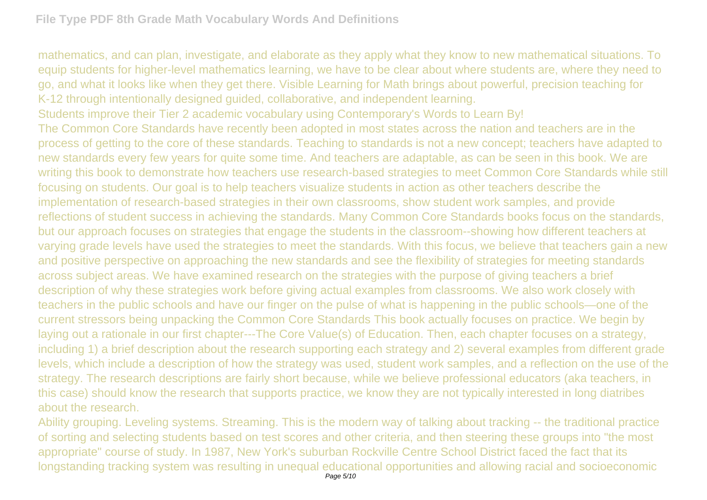mathematics, and can plan, investigate, and elaborate as they apply what they know to new mathematical situations. To equip students for higher-level mathematics learning, we have to be clear about where students are, where they need to go, and what it looks like when they get there. Visible Learning for Math brings about powerful, precision teaching for K-12 through intentionally designed guided, collaborative, and independent learning. Students improve their Tier 2 academic vocabulary using Contemporary's Words to Learn By! The Common Core Standards have recently been adopted in most states across the nation and teachers are in the process of getting to the core of these standards. Teaching to standards is not a new concept; teachers have adapted to new standards every few years for quite some time. And teachers are adaptable, as can be seen in this book. We are writing this book to demonstrate how teachers use research-based strategies to meet Common Core Standards while still focusing on students. Our goal is to help teachers visualize students in action as other teachers describe the implementation of research-based strategies in their own classrooms, show student work samples, and provide reflections of student success in achieving the standards. Many Common Core Standards books focus on the standards, but our approach focuses on strategies that engage the students in the classroom--showing how different teachers at varying grade levels have used the strategies to meet the standards. With this focus, we believe that teachers gain a new and positive perspective on approaching the new standards and see the flexibility of strategies for meeting standards across subject areas. We have examined research on the strategies with the purpose of giving teachers a brief description of why these strategies work before giving actual examples from classrooms. We also work closely with teachers in the public schools and have our finger on the pulse of what is happening in the public schools—one of the current stressors being unpacking the Common Core Standards This book actually focuses on practice. We begin by laying out a rationale in our first chapter---The Core Value(s) of Education. Then, each chapter focuses on a strategy, including 1) a brief description about the research supporting each strategy and 2) several examples from different grade

levels, which include a description of how the strategy was used, student work samples, and a reflection on the use of the strategy. The research descriptions are fairly short because, while we believe professional educators (aka teachers, in this case) should know the research that supports practice, we know they are not typically interested in long diatribes about the research.

Ability grouping. Leveling systems. Streaming. This is the modern way of talking about tracking -- the traditional practice of sorting and selecting students based on test scores and other criteria, and then steering these groups into "the most appropriate" course of study. In 1987, New York's suburban Rockville Centre School District faced the fact that its longstanding tracking system was resulting in unequal educational opportunities and allowing racial and socioeconomic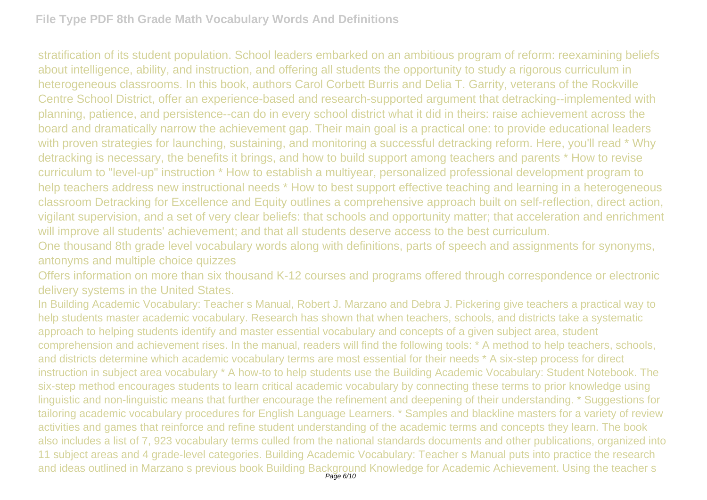stratification of its student population. School leaders embarked on an ambitious program of reform: reexamining beliefs about intelligence, ability, and instruction, and offering all students the opportunity to study a rigorous curriculum in heterogeneous classrooms. In this book, authors Carol Corbett Burris and Delia T. Garrity, veterans of the Rockville Centre School District, offer an experience-based and research-supported argument that detracking--implemented with planning, patience, and persistence--can do in every school district what it did in theirs: raise achievement across the board and dramatically narrow the achievement gap. Their main goal is a practical one: to provide educational leaders with proven strategies for launching, sustaining, and monitoring a successful detracking reform. Here, you'll read \* Why detracking is necessary, the benefits it brings, and how to build support among teachers and parents \* How to revise curriculum to "level-up" instruction \* How to establish a multiyear, personalized professional development program to help teachers address new instructional needs \* How to best support effective teaching and learning in a heterogeneous classroom Detracking for Excellence and Equity outlines a comprehensive approach built on self-reflection, direct action, vigilant supervision, and a set of very clear beliefs: that schools and opportunity matter; that acceleration and enrichment will improve all students' achievement; and that all students deserve access to the best curriculum.

One thousand 8th grade level vocabulary words along with definitions, parts of speech and assignments for synonyms, antonyms and multiple choice quizzes

Offers information on more than six thousand K-12 courses and programs offered through correspondence or electronic delivery systems in the United States.

In Building Academic Vocabulary: Teacher s Manual, Robert J. Marzano and Debra J. Pickering give teachers a practical way to help students master academic vocabulary. Research has shown that when teachers, schools, and districts take a systematic approach to helping students identify and master essential vocabulary and concepts of a given subject area, student comprehension and achievement rises. In the manual, readers will find the following tools: \* A method to help teachers, schools, and districts determine which academic vocabulary terms are most essential for their needs \* A six-step process for direct instruction in subject area vocabulary \* A how-to to help students use the Building Academic Vocabulary: Student Notebook. The six-step method encourages students to learn critical academic vocabulary by connecting these terms to prior knowledge using linguistic and non-linguistic means that further encourage the refinement and deepening of their understanding. \* Suggestions for tailoring academic vocabulary procedures for English Language Learners. \* Samples and blackline masters for a variety of review activities and games that reinforce and refine student understanding of the academic terms and concepts they learn. The book also includes a list of 7, 923 vocabulary terms culled from the national standards documents and other publications, organized into 11 subject areas and 4 grade-level categories. Building Academic Vocabulary: Teacher s Manual puts into practice the research and ideas outlined in Marzano s previous book Building Background Knowledge for Academic Achievement. Using the teacher s<br>Page 6/10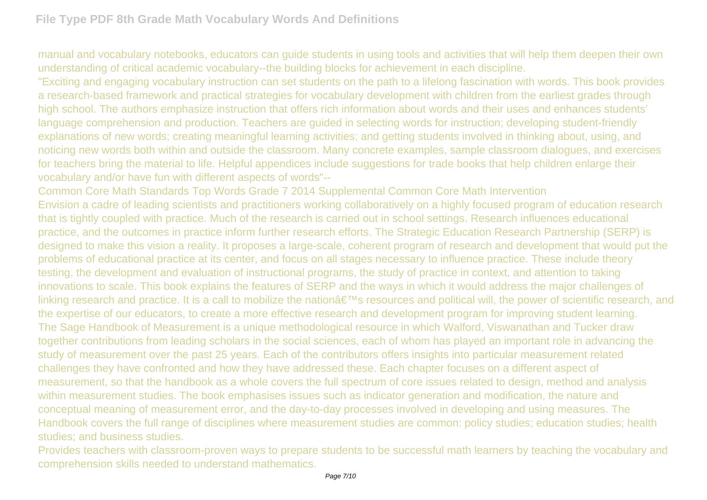manual and vocabulary notebooks, educators can guide students in using tools and activities that will help them deepen their own understanding of critical academic vocabulary--the building blocks for achievement in each discipline.

"Exciting and engaging vocabulary instruction can set students on the path to a lifelong fascination with words. This book provides a research-based framework and practical strategies for vocabulary development with children from the earliest grades through high school. The authors emphasize instruction that offers rich information about words and their uses and enhances students' language comprehension and production. Teachers are guided in selecting words for instruction; developing student-friendly explanations of new words; creating meaningful learning activities; and getting students involved in thinking about, using, and noticing new words both within and outside the classroom. Many concrete examples, sample classroom dialogues, and exercises for teachers bring the material to life. Helpful appendices include suggestions for trade books that help children enlarge their vocabulary and/or have fun with different aspects of words"--

Common Core Math Standards Top Words Grade 7 2014 Supplemental Common Core Math Intervention Envision a cadre of leading scientists and practitioners working collaboratively on a highly focused program of education research that is tightly coupled with practice. Much of the research is carried out in school settings. Research influences educational practice, and the outcomes in practice inform further research efforts. The Strategic Education Research Partnership (SERP) is designed to make this vision a reality. It proposes a large-scale, coherent program of research and development that would put the problems of educational practice at its center, and focus on all stages necessary to influence practice. These include theory testing, the development and evaluation of instructional programs, the study of practice in context, and attention to taking innovations to scale. This book explains the features of SERP and the ways in which it would address the major challenges of linking research and practice. It is a call to mobilize the nation's resources and political will, the power of scientific research, and the expertise of our educators, to create a more effective research and development program for improving student learning. The Sage Handbook of Measurement is a unique methodological resource in which Walford, Viswanathan and Tucker draw together contributions from leading scholars in the social sciences, each of whom has played an important role in advancing the study of measurement over the past 25 years. Each of the contributors offers insights into particular measurement related challenges they have confronted and how they have addressed these. Each chapter focuses on a different aspect of measurement, so that the handbook as a whole covers the full spectrum of core issues related to design, method and analysis within measurement studies. The book emphasises issues such as indicator generation and modification, the nature and conceptual meaning of measurement error, and the day-to-day processes involved in developing and using measures. The Handbook covers the full range of disciplines where measurement studies are common: policy studies; education studies; health studies; and business studies.

Provides teachers with classroom-proven ways to prepare students to be successful math learners by teaching the vocabulary and comprehension skills needed to understand mathematics.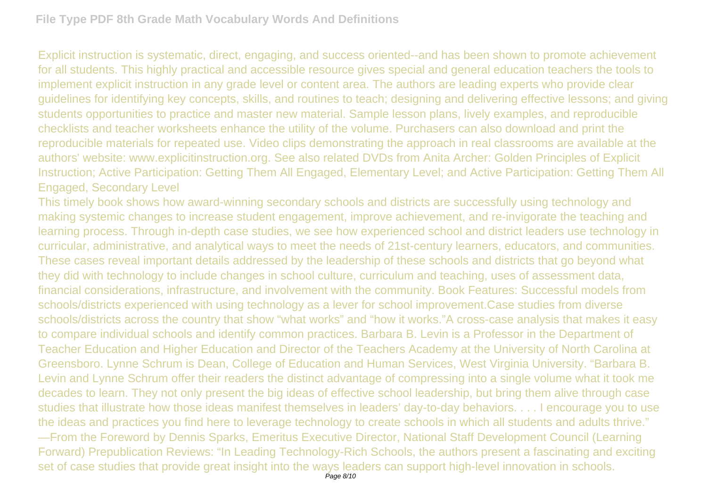Explicit instruction is systematic, direct, engaging, and success oriented--and has been shown to promote achievement for all students. This highly practical and accessible resource gives special and general education teachers the tools to implement explicit instruction in any grade level or content area. The authors are leading experts who provide clear guidelines for identifying key concepts, skills, and routines to teach; designing and delivering effective lessons; and giving students opportunities to practice and master new material. Sample lesson plans, lively examples, and reproducible checklists and teacher worksheets enhance the utility of the volume. Purchasers can also download and print the reproducible materials for repeated use. Video clips demonstrating the approach in real classrooms are available at the authors' website: www.explicitinstruction.org. See also related DVDs from Anita Archer: Golden Principles of Explicit Instruction; Active Participation: Getting Them All Engaged, Elementary Level; and Active Participation: Getting Them All Engaged, Secondary Level

This timely book shows how award-winning secondary schools and districts are successfully using technology and making systemic changes to increase student engagement, improve achievement, and re-invigorate the teaching and learning process. Through in-depth case studies, we see how experienced school and district leaders use technology in curricular, administrative, and analytical ways to meet the needs of 21st-century learners, educators, and communities. These cases reveal important details addressed by the leadership of these schools and districts that go beyond what they did with technology to include changes in school culture, curriculum and teaching, uses of assessment data, financial considerations, infrastructure, and involvement with the community. Book Features: Successful models from schools/districts experienced with using technology as a lever for school improvement.Case studies from diverse schools/districts across the country that show "what works" and "how it works."A cross-case analysis that makes it easy to compare individual schools and identify common practices. Barbara B. Levin is a Professor in the Department of Teacher Education and Higher Education and Director of the Teachers Academy at the University of North Carolina at Greensboro. Lynne Schrum is Dean, College of Education and Human Services, West Virginia University. "Barbara B. Levin and Lynne Schrum offer their readers the distinct advantage of compressing into a single volume what it took me decades to learn. They not only present the big ideas of effective school leadership, but bring them alive through case studies that illustrate how those ideas manifest themselves in leaders' day-to-day behaviors. . . . I encourage you to use the ideas and practices you find here to leverage technology to create schools in which all students and adults thrive." —From the Foreword by Dennis Sparks, Emeritus Executive Director, National Staff Development Council (Learning Forward) Prepublication Reviews: "In Leading Technology-Rich Schools, the authors present a fascinating and exciting set of case studies that provide great insight into the ways leaders can support high-level innovation in schools.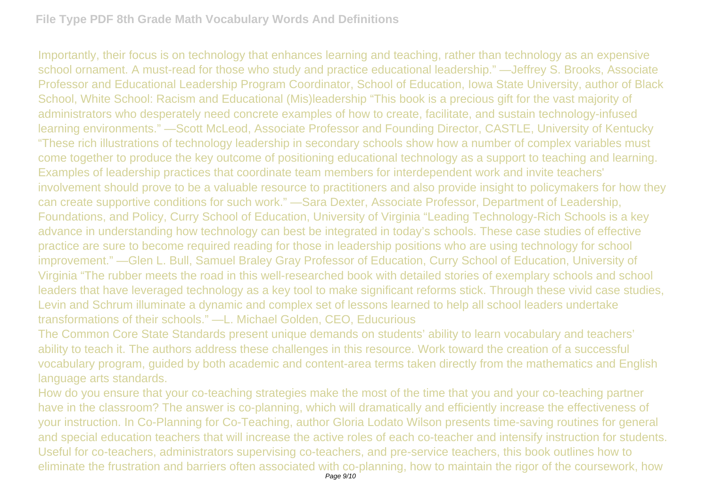Importantly, their focus is on technology that enhances learning and teaching, rather than technology as an expensive school ornament. A must-read for those who study and practice educational leadership." —Jeffrey S. Brooks, Associate Professor and Educational Leadership Program Coordinator, School of Education, Iowa State University, author of Black School, White School: Racism and Educational (Mis)leadership "This book is a precious gift for the vast majority of administrators who desperately need concrete examples of how to create, facilitate, and sustain technology-infused learning environments." —Scott McLeod, Associate Professor and Founding Director, CASTLE, University of Kentucky "These rich illustrations of technology leadership in secondary schools show how a number of complex variables must come together to produce the key outcome of positioning educational technology as a support to teaching and learning. Examples of leadership practices that coordinate team members for interdependent work and invite teachers' involvement should prove to be a valuable resource to practitioners and also provide insight to policymakers for how they can create supportive conditions for such work." —Sara Dexter, Associate Professor, Department of Leadership, Foundations, and Policy, Curry School of Education, University of Virginia "Leading Technology-Rich Schools is a key advance in understanding how technology can best be integrated in today's schools. These case studies of effective practice are sure to become required reading for those in leadership positions who are using technology for school improvement." —Glen L. Bull, Samuel Braley Gray Professor of Education, Curry School of Education, University of Virginia "The rubber meets the road in this well-researched book with detailed stories of exemplary schools and school leaders that have leveraged technology as a key tool to make significant reforms stick. Through these vivid case studies, Levin and Schrum illuminate a dynamic and complex set of lessons learned to help all school leaders undertake transformations of their schools." —L. Michael Golden, CEO, Educurious

The Common Core State Standards present unique demands on students' ability to learn vocabulary and teachers' ability to teach it. The authors address these challenges in this resource. Work toward the creation of a successful vocabulary program, guided by both academic and content-area terms taken directly from the mathematics and English language arts standards.

How do you ensure that your co-teaching strategies make the most of the time that you and your co-teaching partner have in the classroom? The answer is co-planning, which will dramatically and efficiently increase the effectiveness of your instruction. In Co-Planning for Co-Teaching, author Gloria Lodato Wilson presents time-saving routines for general and special education teachers that will increase the active roles of each co-teacher and intensify instruction for students. Useful for co-teachers, administrators supervising co-teachers, and pre-service teachers, this book outlines how to eliminate the frustration and barriers often associated with co-planning, how to maintain the rigor of the coursework, how